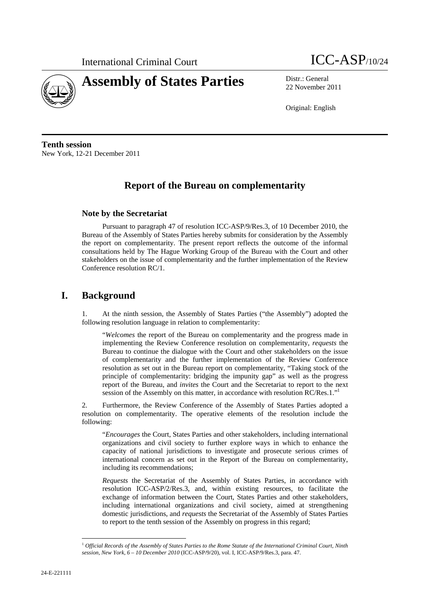

# **Assembly of States Parties** Distr.: General



22 November 2011

Original: English

**Tenth session**  New York, 12-21 December 2011

# **Report of the Bureau on complementarity**

#### **Note by the Secretariat**

<u> 1989 - Johann Barn, mars eta inperiodo</u>

Pursuant to paragraph 47 of resolution ICC-ASP/9/Res.3, of 10 December 2010, the Bureau of the Assembly of States Parties hereby submits for consideration by the Assembly the report on complementarity. The present report reflects the outcome of the informal consultations held by The Hague Working Group of the Bureau with the Court and other stakeholders on the issue of complementarity and the further implementation of the Review Conference resolution RC/1.

## **I. Background**

1. At the ninth session, the Assembly of States Parties ("the Assembly") adopted the following resolution language in relation to complementarity:

"*Welcomes* the report of the Bureau on complementarity and the progress made in implementing the Review Conference resolution on complementarity, *requests* the Bureau to continue the dialogue with the Court and other stakeholders on the issue of complementarity and the further implementation of the Review Conference resolution as set out in the Bureau report on complementarity, "Taking stock of the principle of complementarity: bridging the impunity gap" as well as the progress report of the Bureau, and *invites* the Court and the Secretariat to report to the next session of the Assembly on this matter, in accordance with resolution RC/Res.1."

2. Furthermore, the Review Conference of the Assembly of States Parties adopted a resolution on complementarity. The operative elements of the resolution include the following:

"*Encourages* the Court, States Parties and other stakeholders, including international organizations and civil society to further explore ways in which to enhance the capacity of national jurisdictions to investigate and prosecute serious crimes of international concern as set out in the Report of the Bureau on complementarity, including its recommendations;

*Requests* the Secretariat of the Assembly of States Parties, in accordance with resolution ICC-ASP/2/Res.3, and, within existing resources, to facilitate the exchange of information between the Court, States Parties and other stakeholders, including international organizations and civil society, aimed at strengthening domestic jurisdictions, and *requests* the Secretariat of the Assembly of States Parties to report to the tenth session of the Assembly on progress in this regard;

<sup>&</sup>lt;sup>1</sup> Official Records of the Assembly of States Parties to the Rome Statute of the International Criminal Court, Ninth *session, New York, 6 – 10 December 2010* (ICC-ASP/9/20), vol. I, ICC-ASP/9/Res.3, para. 47.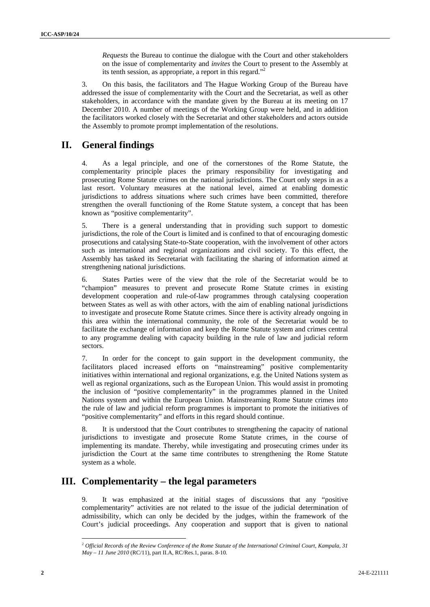*Requests* the Bureau to continue the dialogue with the Court and other stakeholders on the issue of complementarity and *invites* the Court to present to the Assembly at its tenth session, as appropriate, a report in this regard."2

3. On this basis, the facilitators and The Hague Working Group of the Bureau have addressed the issue of complementarity with the Court and the Secretariat, as well as other stakeholders, in accordance with the mandate given by the Bureau at its meeting on 17 December 2010. A number of meetings of the Working Group were held, and in addition the facilitators worked closely with the Secretariat and other stakeholders and actors outside the Assembly to promote prompt implementation of the resolutions.

## **II. General findings**

4. As a legal principle, and one of the cornerstones of the Rome Statute, the complementarity principle places the primary responsibility for investigating and prosecuting Rome Statute crimes on the national jurisdictions. The Court only steps in as a last resort. Voluntary measures at the national level, aimed at enabling domestic jurisdictions to address situations where such crimes have been committed, therefore strengthen the overall functioning of the Rome Statute system, a concept that has been known as "positive complementarity".

5. There is a general understanding that in providing such support to domestic jurisdictions, the role of the Court is limited and is confined to that of encouraging domestic prosecutions and catalysing State-to-State cooperation, with the involvement of other actors such as international and regional organizations and civil society. To this effect, the Assembly has tasked its Secretariat with facilitating the sharing of information aimed at strengthening national jurisdictions.

6. States Parties were of the view that the role of the Secretariat would be to "champion" measures to prevent and prosecute Rome Statute crimes in existing development cooperation and rule-of-law programmes through catalysing cooperation between States as well as with other actors, with the aim of enabling national jurisdictions to investigate and prosecute Rome Statute crimes. Since there is activity already ongoing in this area within the international community, the role of the Secretariat would be to facilitate the exchange of information and keep the Rome Statute system and crimes central to any programme dealing with capacity building in the rule of law and judicial reform sectors.

7. In order for the concept to gain support in the development community, the facilitators placed increased efforts on "mainstreaming" positive complementarity initiatives within international and regional organizations, e.g. the United Nations system as well as regional organizations, such as the European Union. This would assist in promoting the inclusion of "positive complementarity" in the programmes planned in the United Nations system and within the European Union. Mainstreaming Rome Statute crimes into the rule of law and judicial reform programmes is important to promote the initiatives of "positive complementarity" and efforts in this regard should continue.

8. It is understood that the Court contributes to strengthening the capacity of national jurisdictions to investigate and prosecute Rome Statute crimes, in the course of implementing its mandate. Thereby, while investigating and prosecuting crimes under its jurisdiction the Court at the same time contributes to strengthening the Rome Statute system as a whole.

## **III. Complementarity – the legal parameters**

<u> 1989 - Johann Barn, mars eta inperiodo</u>

It was emphasized at the initial stages of discussions that any "positive complementarity" activities are not related to the issue of the judicial determination of admissibility, which can only be decided by the judges, within the framework of the Court's judicial proceedings. Any cooperation and support that is given to national

<sup>2</sup>  *Official Records of the Review Conference of the Rome Statute of the International Criminal Court, Kampala, 31 May – 11 June 2010* (RC/11), part II.A, RC/Res.1, paras. 8-10.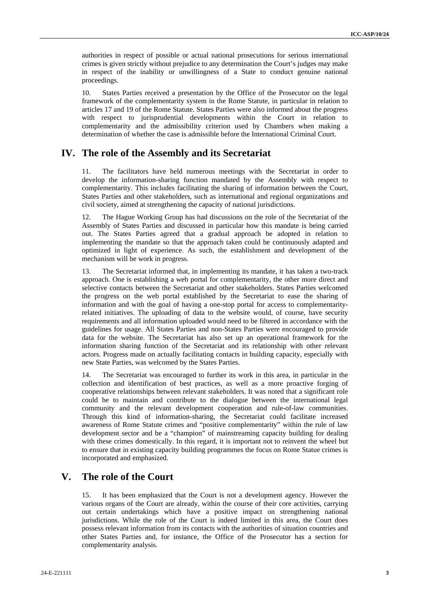authorities in respect of possible or actual national prosecutions for serious international crimes is given strictly without prejudice to any determination the Court's judges may make in respect of the inability or unwillingness of a State to conduct genuine national proceedings.

10. States Parties received a presentation by the Office of the Prosecutor on the legal framework of the complementarity system in the Rome Statute, in particular in relation to articles 17 and 19 of the Rome Statute. States Parties were also informed about the progress with respect to jurisprudential developments within the Court in relation to complementarity and the admissibility criterion used by Chambers when making a determination of whether the case is admissible before the International Criminal Court.

#### **IV. The role of the Assembly and its Secretariat**

11. The facilitators have held numerous meetings with the Secretariat in order to develop the information-sharing function mandated by the Assembly with respect to complementarity. This includes facilitating the sharing of information between the Court, States Parties and other stakeholders, such as international and regional organizations and civil society, aimed at strengthening the capacity of national jurisdictions.

12. The Hague Working Group has had discussions on the role of the Secretariat of the Assembly of States Parties and discussed in particular how this mandate is being carried out. The States Parties agreed that a gradual approach be adopted in relation to implementing the mandate so that the approach taken could be continuously adapted and optimized in light of experience. As such, the establishment and development of the mechanism will be work in progress.

13. The Secretariat informed that, in implementing its mandate, it has taken a two-track approach. One is establishing a web portal for complementarity, the other more direct and selective contacts between the Secretariat and other stakeholders. States Parties welcomed the progress on the web portal established by the Secretariat to ease the sharing of information and with the goal of having a one-stop portal for access to complementarityrelated initiatives. The uploading of data to the website would, of course, have security requirements and all information uploaded would need to be filtered in accordance with the guidelines for usage. All States Parties and non-States Parties were encouraged to provide data for the website. The Secretariat has also set up an operational framework for the information sharing function of the Secretariat and its relationship with other relevant actors. Progress made on actually facilitating contacts in building capacity, especially with new State Parties, was welcomed by the States Parties.

14. The Secretariat was encouraged to further its work in this area, in particular in the collection and identification of best practices, as well as a more proactive forging of cooperative relationships between relevant stakeholders. It was noted that a significant role could be to maintain and contribute to the dialogue between the international legal community and the relevant development cooperation and rule-of-law communities. Through this kind of information-sharing, the Secretariat could facilitate increased awareness of Rome Statute crimes and "positive complementarity" within the rule of law development sector and be a "champion" of mainstreaming capacity building for dealing with these crimes domestically. In this regard, it is important not to reinvent the wheel but to ensure that in existing capacity building programmes the focus on Rome Statue crimes is incorporated and emphasized.

#### **V. The role of the Court**

15. It has been emphasized that the Court is not a development agency. However the various organs of the Court are already, within the course of their core activities, carrying out certain undertakings which have a positive impact on strengthening national jurisdictions. While the role of the Court is indeed limited in this area, the Court does possess relevant information from its contacts with the authorities of situation countries and other States Parties and, for instance, the Office of the Prosecutor has a section for complementarity analysis.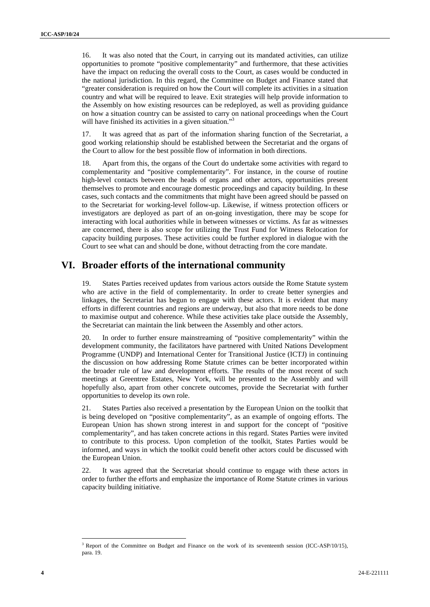16. It was also noted that the Court, in carrying out its mandated activities, can utilize opportunities to promote "positive complementarity" and furthermore, that these activities have the impact on reducing the overall costs to the Court, as cases would be conducted in the national jurisdiction. In this regard, the Committee on Budget and Finance stated that "greater consideration is required on how the Court will complete its activities in a situation country and what will be required to leave. Exit strategies will help provide information to the Assembly on how existing resources can be redeployed, as well as providing guidance on how a situation country can be assisted to carry on national proceedings when the Court will have finished its activities in a given situation."<sup>3</sup>

17. It was agreed that as part of the information sharing function of the Secretariat, a good working relationship should be established between the Secretariat and the organs of the Court to allow for the best possible flow of information in both directions.

18. Apart from this, the organs of the Court do undertake some activities with regard to complementarity and "positive complementarity". For instance, in the course of routine high-level contacts between the heads of organs and other actors, opportunities present themselves to promote and encourage domestic proceedings and capacity building. In these cases, such contacts and the commitments that might have been agreed should be passed on to the Secretariat for working-level follow-up. Likewise, if witness protection officers or investigators are deployed as part of an on-going investigation, there may be scope for interacting with local authorities while in between witnesses or victims. As far as witnesses are concerned, there is also scope for utilizing the Trust Fund for Witness Relocation for capacity building purposes. These activities could be further explored in dialogue with the Court to see what can and should be done, without detracting from the core mandate.

#### **VI. Broader efforts of the international community**

19. States Parties received updates from various actors outside the Rome Statute system who are active in the field of complementarity. In order to create better synergies and linkages, the Secretariat has begun to engage with these actors. It is evident that many efforts in different countries and regions are underway, but also that more needs to be done to maximise output and coherence. While these activities take place outside the Assembly, the Secretariat can maintain the link between the Assembly and other actors.

20. In order to further ensure mainstreaming of "positive complementarity" within the development community, the facilitators have partnered with United Nations Development Programme (UNDP) and International Center for Transitional Justice (ICTJ) in continuing the discussion on how addressing Rome Statute crimes can be better incorporated within the broader rule of law and development efforts. The results of the most recent of such meetings at Greentree Estates, New York, will be presented to the Assembly and will hopefully also, apart from other concrete outcomes, provide the Secretariat with further opportunities to develop its own role.

21. States Parties also received a presentation by the European Union on the toolkit that is being developed on "positive complementarity", as an example of ongoing efforts. The European Union has shown strong interest in and support for the concept of "positive complementarity", and has taken concrete actions in this regard. States Parties were invited to contribute to this process. Upon completion of the toolkit, States Parties would be informed, and ways in which the toolkit could benefit other actors could be discussed with the European Union.

22. It was agreed that the Secretariat should continue to engage with these actors in order to further the efforts and emphasize the importance of Rome Statute crimes in various capacity building initiative.

<u> 1989 - Johann Barn, mars eta inperiodo</u>

<sup>&</sup>lt;sup>3</sup> Report of the Committee on Budget and Finance on the work of its seventeenth session (ICC-ASP/10/15), para. 19.